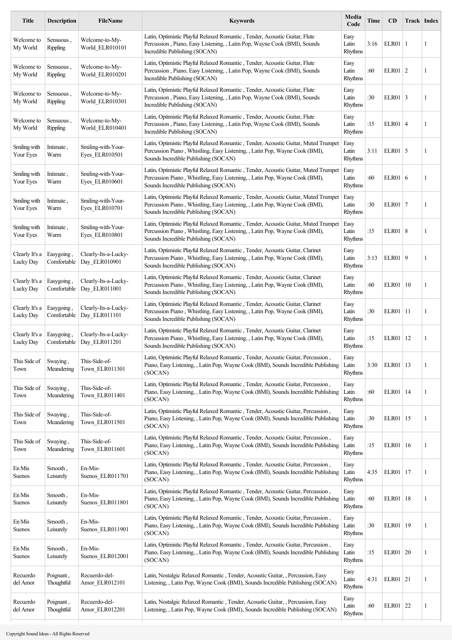| <b>Title</b>                | <b>Description</b>           | <b>FileName</b>                       | <b>Keywords</b>                                                                                                                                                                                           | Media<br>Code            | Time | <b>CD</b>    |    | Track Index |
|-----------------------------|------------------------------|---------------------------------------|-----------------------------------------------------------------------------------------------------------------------------------------------------------------------------------------------------------|--------------------------|------|--------------|----|-------------|
| Welcome to<br>My World      | Sensuous,<br><b>Rippling</b> | Welcome-to-My-<br>World ELR010101     | Latin, Optimistic Playful Relaxed Romantic, Tender, Acoustic Guitar, Flute<br>Percussion, Piano, Easy Listening, , Latin Pop, Wayne Cook (BMI), Sounds<br>Incredible Publishing (SOCAN)                   | Easy<br>Latin<br>Rhythms | 3:16 | ELR01        | -1 | 1           |
| Welcome to<br>My World      | Sensuous,<br><b>Rippling</b> | Welcome-to-My-<br>World_ELR010201     | Latin, Optimistic Playful Relaxed Romantic, Tender, Acoustic Guitar, Flute<br>Percussion, Piano, Easy Listening, , Latin Pop, Wayne Cook (BMI), Sounds<br>Incredible Publishing (SOCAN)                   | Easy<br>Latin<br>Rhythms | :60  | $ELR01$   2  |    | 1           |
| Welcome to<br>My World      | Sensuous.<br><b>Rippling</b> | Welcome-to-My-<br>World ELR010301     | Latin, Optimistic Playful Relaxed Romantic, Tender, Acoustic Guitar, Flute<br>Percussion, Piano, Easy Listening, , Latin Pop, Wayne Cook (BMI), Sounds<br>Incredible Publishing (SOCAN)                   | Easy<br>Latin<br>Rhythms | :30  | $ELR01$ 3    |    | 1           |
| Welcome to<br>My World      | Sensuous,<br>Rippling        | Welcome-to-My-<br>World_ELR010401     | Latin, Optimistic Playful Relaxed Romantic, Tender, Acoustic Guitar, Flute<br>Percussion, Piano, Easy Listening, , Latin Pop, Wayne Cook (BMI), Sounds<br>Incredible Publishing (SOCAN)                   | Easy<br>Latin<br>Rhythms | :15  | $ELR01$ 4    |    | 1           |
| Smiling with<br>Your Eyes   | Intimate,<br>Warm            | Smiling-with-Your-<br>Eyes_ELR010501  | Latin, Optimistic Playful Relaxed Romantic, Tender, Acoustic Guitar, Muted Trumpet<br>Percussion Piano, Whistling, Easy Listening, , Latin Pop, Wayne Cook (BMI),<br>Sounds Incredible Publishing (SOCAN) | Easy<br>Latin<br>Rhythms | 3:11 | $ELR01$ 5    |    | 1           |
| Smiling with<br>Your Eyes   | Intimate.<br>Warm            | Smiling-with-Your-<br>Eyes ELR010601  | Latin, Optimistic Playful Relaxed Romantic, Tender, Acoustic Guitar, Muted Trumpet<br>Percussion Piano, Whistling, Easy Listening, , Latin Pop, Wayne Cook (BMI),<br>Sounds Incredible Publishing (SOCAN) | Easy<br>Latin<br>Rhythms | :60  | $ELR01$ 6    |    | 1           |
| Smiling with<br>Your Eyes   | Intimate.<br>Warm            | Smiling-with-Your-<br>Eyes_ELR010701  | Latin, Optimistic Playful Relaxed Romantic, Tender, Acoustic Guitar, Muted Trumpet<br>Percussion Piano, Whistling, Easy Listening, , Latin Pop, Wayne Cook (BMI),<br>Sounds Incredible Publishing (SOCAN) | Easy<br>Latin<br>Rhythms | :30  | ELR01 7      |    | 1           |
| Smiling with<br>Your Eyes   | Intimate,<br>Warm            | Smiling-with-Your-<br>Eyes ELR010801  | Latin, Optimistic Playful Relaxed Romantic, Tender, Acoustic Guitar, Muted Trumpet<br>Percussion Piano, Whistling, Easy Listening, , Latin Pop, Wayne Cook (BMI),<br>Sounds Incredible Publishing (SOCAN) | Easy<br>Latin<br>Rhythms | :15  | ELR01   8    |    | 1           |
| Clearly It's a<br>Lucky Day | Easygoing,<br>Comfortable    | Clearly-Its-a-Lucky-<br>Day_ELR010901 | Latin, Optimistic Playful Relaxed Romantic, Tender, Acoustic Guitar, Clarinet<br>Percussion Piano, Whistling, Easy Listening, , Latin Pop, Wayne Cook (BMI),<br>Sounds Incredible Publishing (SOCAN)      | Easy<br>Latin<br>Rhythms | 3:13 | ELR01 9      |    | 1           |
| Clearly It's a<br>Lucky Day | Easygoing,<br>Comfortable    | Clearly-Its-a-Lucky-<br>Day_ELR011001 | Latin, Optimistic Playful Relaxed Romantic, Tender, Acoustic Guitar, Clarinet<br>Percussion Piano, Whistling, Easy Listening, , Latin Pop, Wayne Cook (BMI),<br>Sounds Incredible Publishing (SOCAN)      | Easy<br>Latin<br>Rhythms | :60  | ELR01        | 10 | 1           |
| Clearly It's a<br>Lucky Day | Easygoing,<br>Comfortable    | Clearly-Its-a-Lucky-<br>Day ELR011101 | Latin, Optimistic Playful Relaxed Romantic, Tender, Acoustic Guitar, Clarinet<br>Percussion Piano, Whistling, Easy Listening, , Latin Pop, Wayne Cook (BMI),<br>Sounds Incredible Publishing (SOCAN)      | Easy<br>Latin<br>Rhythms | :30  | <b>ELR01</b> | 11 | 1           |
| Clearly It's a<br>Lucky Day | Easygoing,<br>Comfortable    | Clearly-Its-a-Lucky-<br>Day_ELR011201 | Latin, Optimistic Playful Relaxed Romantic, Tender, Acoustic Guitar, Clarinet<br>Percussion Piano, Whistling, Easy Listening, , Latin Pop, Wayne Cook (BMI),<br>Sounds Incredible Publishing (SOCAN)      | Easy<br>Latin<br>Rhythms | :15  | ELR01        | 12 | 1           |
| This Side of<br>Town        | Swaying,<br>Meandering       | This-Side-of-<br>Town_ELR011301       | Latin, Optimistic Playful Relaxed Romantic, Tender, Acoustic Guitar, Percussion,<br>Piano, Easy Listening, , Latin Pop, Wayne Cook (BMI), Sounds Incredible Publishing<br>(SOCAN)                         | Easy<br>Latin<br>Rhythms | 3:30 | <b>ELR01</b> | 13 | 1           |
| This Side of<br>Town        | Swaving.<br>Meandering       | This-Side-of-<br>Town ELR011401       | Latin, Optimistic Playful Relaxed Romantic, Tender, Acoustic Guitar, Percussion,<br>Piano, Easy Listening, , Latin Pop, Wayne Cook (BMI), Sounds Incredible Publishing<br>(SOCAN)                         | Easy<br>Latin<br>Rhythms | :60  | ELR01        | 14 | 1           |
| This Side of<br>Town        | Swaying,<br>Meandering       | This-Side-of-<br>Town ELR011501       | Latin, Optimistic Playful Relaxed Romantic, Tender, Acoustic Guitar, Percussion,<br>Piano, Easy Listening, , Latin Pop, Wayne Cook (BMI), Sounds Incredible Publishing<br>(SOCAN)                         | Easy<br>Latin<br>Rhythms | :30  | ELR01   15   |    | 1           |
| This Side of<br>Town        | Swaying,<br>Meandering       | This-Side-of-<br>Town ELR011601       | Latin, Optimistic Playful Relaxed Romantic, Tender, Acoustic Guitar, Percussion,<br>Piano, Easy Listening, , Latin Pop, Wayne Cook (BMI), Sounds Incredible Publishing<br>(SOCAN)                         | Easy<br>Latin<br>Rhythms | :15  | ELR01   16   |    | 1           |
| En Mis<br>Suenos            | Smooth,<br>Leisurely         | En-Mis-<br>Suenos ELR011701           | Latin, Optimistic Playful Relaxed Romantic, Tender, Acoustic Guitar, Percussion,<br>Piano, Easy Listening, , Latin Pop, Wayne Cook (BMI), Sounds Incredible Publishing<br>(SOCAN)                         | Easy<br>Latin<br>Rhythms | 4:35 | <b>ELR01</b> | 17 | 1           |
| En Mis<br>Suenos            | Smooth,<br>Leisurely         | En-Mis-<br>Suenos ELR011801           | Latin, Optimistic Playful Relaxed Romantic, Tender, Acoustic Guitar, Percussion,<br>Piano, Easy Listening, , Latin Pop, Wayne Cook (BMI), Sounds Incredible Publishing<br>(SOCAN)                         | Easy<br>Latin<br>Rhythms | :60  | <b>ELR01</b> | 18 | 1           |
| En Mis<br>Suenos            | Smooth,<br>Leisurely         | En-Mis-<br>Suenos ELR011901           | Latin, Optimistic Playful Relaxed Romantic, Tender, Acoustic Guitar, Percussion,<br>Piano, Easy Listening, , Latin Pop, Wayne Cook (BMI), Sounds Incredible Publishing<br>(SOCAN)                         | Easy<br>Latin<br>Rhythms | :30  | ELR01        | 19 | 1           |
| En Mis<br>Suenos            | Smooth,<br>Leisurely         | En-Mis-<br>Suenos ELR012001           | Latin, Optimistic Playful Relaxed Romantic, Tender, Acoustic Guitar, Percussion,<br>Piano, Easy Listening, , Latin Pop, Wayne Cook (BMI), Sounds Incredible Publishing<br>(SOCAN)                         | Easy<br>Latin<br>Rhythms | :15  | ELR01        | 20 | 1           |
| Recuerdo<br>del Amor        | Poignant,<br>Thoughtful      | Recuerdo-del-<br>Amor ELR012101       | Latin, Nostalgic Relaxed Romantic, Tender, Acoustic Guitar, , Percussion, Easy<br>Listening, , Latin Pop, Wayne Cook (BMI), Sounds Incredible Publishing (SOCAN)                                          | Easy<br>Latin<br>Rhythms | 4:31 | ELR01 21     |    | 1           |
| Recuerdo<br>del Amor        | Poignant,<br>Thoughtful      | Recuerdo-del-<br>Amor ELR012201       | Latin, Nostalgic Relaxed Romantic, Tender, Acoustic Guitar, , Percussion, Easy<br>Listening, , Latin Pop, Wayne Cook (BMI), Sounds Incredible Publishing (SOCAN)                                          | Easy<br>Latin<br>Rhythms | :60  | ELR01        | 22 | 1           |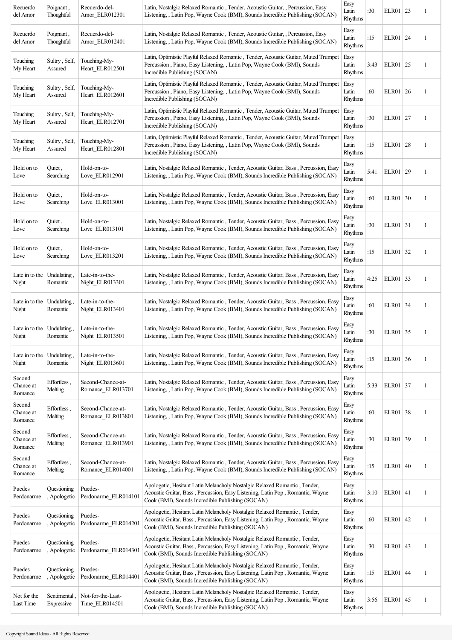| Recuerdo<br>del Amor                        | Poignant,<br>Thoughtful     | Recuerdo-del-<br>Amor_ELR012301        | Latin, Nostalgic Relaxed Romantic, Tender, Acoustic Guitar, , Percussion, Easy<br>Listening, , Latin Pop, Wayne Cook (BMI), Sounds Incredible Publishing (SOCAN)                                               | Easy<br>Latin<br>Rhythms | :30  | ELR01   23   |    | 1 |
|---------------------------------------------|-----------------------------|----------------------------------------|----------------------------------------------------------------------------------------------------------------------------------------------------------------------------------------------------------------|--------------------------|------|--------------|----|---|
| Recuerdo<br>del Amor                        | Poignant,<br>Thoughtful     | Recuerdo-del-<br>Amor ELR012401        | Latin, Nostalgic Relaxed Romantic, Tender, Acoustic Guitar, , Percussion, Easy<br>Listening, , Latin Pop, Wayne Cook (BMI), Sounds Incredible Publishing (SOCAN)                                               | Easy<br>Latin<br>Rhythms | :15  | ELR01   24   |    | 1 |
| Touching<br>My Heart                        | Sultry, Self,<br>Assured    | Touching-My-<br>Heart ELR012501        | Latin, Optimistic Playful Relaxed Romantic, Tender, Acoustic Guitar, Muted Trumpet<br>Percussion, Piano, Easy Listening, , Latin Pop, Wayne Cook (BMI), Sounds<br>Incredible Publishing (SOCAN)                | Easy<br>Latin<br>Rhythms | 3:43 | $ELR01$   25 |    | 1 |
| Touching<br>My Heart                        | Sultry, Self,<br>Assured    | Touching-My-<br>Heart ELR012601        | Latin, Optimistic Playful Relaxed Romantic, Tender, Acoustic Guitar, Muted Trumpet<br>Percussion, Piano, Easy Listening, , Latin Pop, Wayne Cook (BMI), Sounds<br>Incredible Publishing (SOCAN)                | Easy<br>Latin<br>Rhythms | :60  | ELR01   26   |    | 1 |
| Touching<br>My Heart                        | Sultry, Self,<br>Assured    | Touching-My-<br>Heart_ELR012701        | Latin, Optimistic Playful Relaxed Romantic, Tender, Acoustic Guitar, Muted Trumpet<br>Percussion, Piano, Easy Listening, , Latin Pop, Wayne Cook (BMI), Sounds<br>Incredible Publishing (SOCAN)                | Easy<br>Latin<br>Rhythms | :30  | ELR01   27   |    | 1 |
| Touching<br>My Heart                        | Sultry, Self,<br>Assured    | Touching-My-<br>Heart ELR012801        | Latin, Optimistic Playful Relaxed Romantic, Tender, Acoustic Guitar, Muted Trumpet<br>Percussion, Piano, Easy Listening, , Latin Pop, Wayne Cook (BMI), Sounds<br>Incredible Publishing (SOCAN)                | Easy<br>Latin<br>Rhythms | :15  | ELR01   28   |    |   |
| Hold on to<br>Love                          | Quiet,<br>Searching         | Hold-on-to-<br>Love ELR012901          | Latin, Nostalgic Relaxed Romantic, Tender, Acoustic Guitar, Bass, Percussion, Easy<br>Listening, , Latin Pop, Wayne Cook (BMI), Sounds Incredible Publishing (SOCAN)                                           | Easy<br>Latin<br>Rhythms | 5:41 | ELR01   29   |    | 1 |
| Hold on to<br>Love                          | Quiet,<br>Searching         | Hold-on-to-<br>Love ELR013001          | Latin, Nostalgic Relaxed Romantic, Tender, Acoustic Guitar, Bass, Percussion, Easy<br>Listening, , Latin Pop, Wayne Cook (BMI), Sounds Incredible Publishing (SOCAN)                                           | Easy<br>Latin<br>Rhythms | :60  | ELR01 30     |    | 1 |
| Hold on to<br>Love                          | Quiet,<br>Searching         | Hold-on-to-<br>Love ELR013101          | Latin, Nostalgic Relaxed Romantic, Tender, Acoustic Guitar, Bass, Percussion, Easy<br>Listening, , Latin Pop, Wayne Cook (BMI), Sounds Incredible Publishing (SOCAN)                                           | Easy<br>Latin<br>Rhythms | :30  | ELR01   31   |    | 1 |
| Hold on to<br>Love                          | Quiet,<br>Searching         | Hold-on-to-<br>Love ELR013201          | Latin, Nostalgic Relaxed Romantic, Tender, Acoustic Guitar, Bass, Percussion, Easy<br>Listening, , Latin Pop, Wayne Cook (BMI), Sounds Incredible Publishing (SOCAN)                                           | Easy<br>Latin<br>Rhythms | :15  | ELR01 32     |    | 1 |
| Late in to the<br>Night                     | Undulating<br>Romantic      | Late-in-to-the-<br>Night ELR013301     | Latin, Nostalgic Relaxed Romantic, Tender, Acoustic Guitar, Bass, Percussion, Easy<br>Listening, , Latin Pop, Wayne Cook (BMI), Sounds Incredible Publishing (SOCAN)                                           | Easy<br>Latin<br>Rhythms | 4:25 | ELR01 33     |    | 1 |
| Late in to the $ $<br>Night                 | Undulating<br>Romantic      | Late-in-to-the-<br>Night ELR013401     | Latin, Nostalgic Relaxed Romantic, Tender, Acoustic Guitar, Bass, Percussion, Easy<br>Listening, , Latin Pop, Wayne Cook (BMI), Sounds Incredible Publishing (SOCAN)                                           | Easy<br>Latin<br>Rhythms | :60  | ELR01 34     |    | 1 |
| Late in to the $\vert$ Undulating.<br>Night | Romantic                    | Late-in-to-the-<br>Night ELR013501     | Latin, Nostalgic Relaxed Romantic, Tender, Acoustic Guitar, Bass, Percussion, Easy<br>Listening, , Latin Pop, Wayne Cook (BMI), Sounds Incredible Publishing (SOCAN)                                           | Easy<br>Latin<br>Rhythms | :30  | ELR01   35   |    | 1 |
| Late in to the<br>Night                     | Undulating.<br>Romantic     | Late-in-to-the-<br>Night_ELR013601     | Latin, Nostalgic Relaxed Romantic, Tender, Acoustic Guitar, Bass, Percussion, Easy<br>Listening, , Latin Pop, Wayne Cook (BMI), Sounds Incredible Publishing (SOCAN)                                           | Easy<br>Latin<br>Rhythms | :15  | ELR01 36     |    |   |
| Second<br>Chance at<br>Romance              | Effortless,<br>Melting      | Second-Chance-at-<br>Romance ELR013701 | Latin, Nostalgic Relaxed Romantic, Tender, Acoustic Guitar, Bass, Percussion, Easy<br>Listening, , Latin Pop, Wayne Cook (BMI), Sounds Incredible Publishing (SOCAN)                                           | Easy<br>Latin<br>Rhythms | 5:33 | ELR01 37     |    | 1 |
| Second<br>Chance at<br>Romance              | Effortless,<br>Melting      | Second-Chance-at-<br>Romance ELR013801 | Latin, Nostalgic Relaxed Romantic, Tender, Acoustic Guitar, Bass, Percussion, Easy<br>Listening, , Latin Pop, Wayne Cook (BMI), Sounds Incredible Publishing (SOCAN)                                           | Easy<br>Latin<br>Rhythms | :60  | ELR01 38     |    | 1 |
| Second<br>Chance at<br>Romance              | Effortless,<br>Melting      | Second-Chance-at-<br>Romance_ELR013901 | Latin, Nostalgic Relaxed Romantic, Tender, Acoustic Guitar, Bass, Percussion, Easy<br>Listening, , Latin Pop, Wayne Cook (BMI), Sounds Incredible Publishing (SOCAN)                                           | Easy<br>Latin<br>Rhythms | :30  | ELR01        | 39 | 1 |
| Second<br>Chance at<br>Romance              | Effortless,<br>Melting      | Second-Chance-at-<br>Romance_ELR014001 | Latin, Nostalgic Relaxed Romantic, Tender, Acoustic Guitar, Bass, Percussion, Easy<br>Listening, , Latin Pop, Wayne Cook (BMI), Sounds Incredible Publishing (SOCAN)                                           | Easy<br>Latin<br>Rhythms | :15  | ELR01   40   |    | 1 |
| Puedes<br>Perdonarme                        | Questioning<br>Apologetic   | Puedes-<br>Perdonarme_ELR014101        | Apologetic, Hesitant Latin Melancholy Nostalgic Relaxed Romantic, Tender,<br>Acoustic Guitar, Bass, Percussion, Easy Listening, Latin Pop, Romantic, Wayne<br>Cook (BMI), Sounds Incredible Publishing (SOCAN) | Easy<br>Latin<br>Rhythms | 3:10 | $ELR01$ 41   |    | 1 |
| Puedes<br>Perdonarme                        | Questioning<br>Apologetic   | Puedes-<br>Perdonarme ELR014201        | Apologetic, Hesitant Latin Melancholy Nostalgic Relaxed Romantic, Tender,<br>Acoustic Guitar, Bass, Percussion, Easy Listening, Latin Pop, Romantic, Wayne<br>Cook (BMI), Sounds Incredible Publishing (SOCAN) | Easy<br>Latin<br>Rhythms | :60  | ELR01 42     |    | 1 |
| Puedes<br>Perdonarme                        | Questioning<br>, Apologetic | Puedes-<br>Perdonarme_ELR014301        | Apologetic, Hesitant Latin Melancholy Nostalgic Relaxed Romantic, Tender,<br>Acoustic Guitar, Bass, Percussion, Easy Listening, Latin Pop, Romantic, Wayne<br>Cook (BMI), Sounds Incredible Publishing (SOCAN) | Easy<br>Latin<br>Rhythms | :30  | ELR01   43   |    | 1 |
| Puedes<br>Perdonarme                        | Questioning<br>Apologetic   | Puedes-<br>Perdonarme_ELR014401        | Apologetic, Hesitant Latin Melancholy Nostalgic Relaxed Romantic, Tender,<br>Acoustic Guitar, Bass, Percussion, Easy Listening, Latin Pop, Romantic, Wayne<br>Cook (BMI), Sounds Incredible Publishing (SOCAN) | Easy<br>Latin<br>Rhythms | :15  | ELR01        | 44 | 1 |
| Not for the<br>Last Time                    | Sentimental<br>Expressive   | Not-for-the-Last-<br>Time ELR014501    | Apologetic, Hesitant Latin Melancholy Nostalgic Relaxed Romantic, Tender,<br>Acoustic Guitar, Bass, Percussion, Easy Listening, Latin Pop, Romantic, Wayne<br>Cook (BMI), Sounds Incredible Publishing (SOCAN) | Easy<br>Latin<br>Rhythms | 3:56 | ELR01        | 45 | 1 |